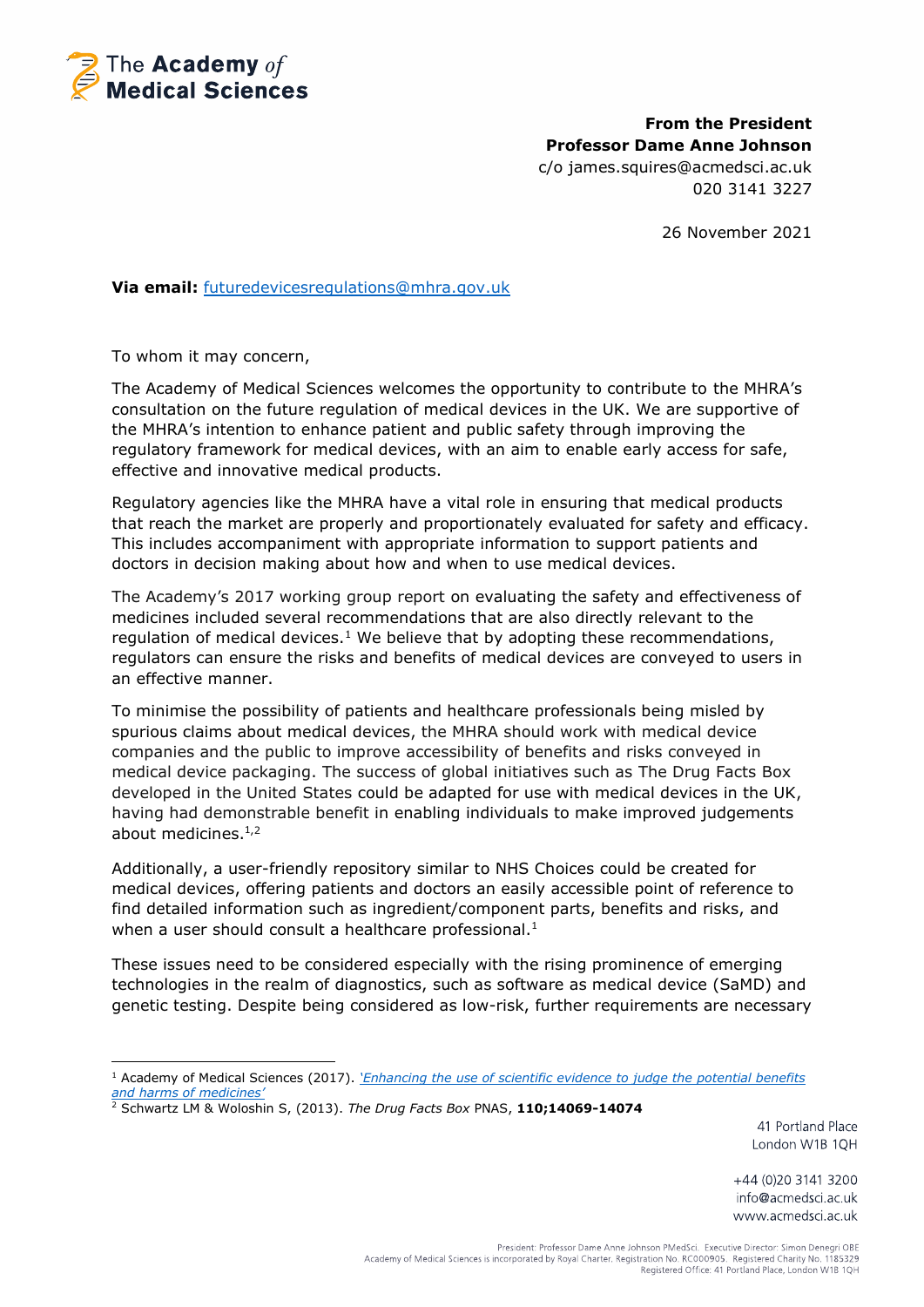

**From the President Professor Dame Anne Johnson** c/o james.squires@acmedsci.ac.uk 020 3141 3227

26 November 2021

**Via email:** [futuredevicesregulations@mhra.gov.uk](mailto:futuredevicesregulations@mhra.gov.uk)

To whom it may concern,

The Academy of Medical Sciences welcomes the opportunity to contribute to the MHRA's consultation on the future regulation of medical devices in the UK. We are supportive of the MHRA's intention to enhance patient and public safety through improving the regulatory framework for medical devices, with an aim to enable early access for safe, effective and innovative medical products.

Regulatory agencies like the MHRA have a vital role in ensuring that medical products that reach the market are properly and proportionately evaluated for safety and efficacy. This includes accompaniment with appropriate information to support patients and doctors in decision making about how and when to use medical devices.

<span id="page-0-0"></span>The Academy's 2017 working group report on evaluating the safety and effectiveness of medicines included several recommendations that are also directly relevant to the regulation of medical devices.<sup>1</sup> We believe that by adopting these recommendations, regulators can ensure the risks and benefits of medical devices are conveyed to users in an effective manner.

To minimise the possibility of patients and healthcare professionals being misled by spurious claims about medical devices, the MHRA should work with medical device companies and the public to improve accessibility of benefits and risks conveyed in medical device packaging. The success of global initiatives such as The Drug Facts Box developed in the United States could be adapted for use with medical devices in the UK, having had demonstrable benefit in enabling individuals to make improved judgements about medicines.<sup>[1](#page-0-0),2</sup>

Additionally, a user-friendly repository similar to NHS Choices could be created for medical devices, offering patients and doctors an easily accessible point of reference to find detailed information such as ingredient/component parts, benefits and risks, and when a user should consult a healthcare professional.<sup>[1](#page-0-0)</sup>

These issues need to be considered especially with the rising prominence of emerging technologies in the realm of diagnostics, such as software as medical device (SaMD) and genetic testing. Despite being considered as low-risk, further requirements are necessary

41 Portland Place London W1B 1QH

<sup>&</sup>lt;sup>1</sup> Academy of Medical Sciences (2017). *['Enhancing the use of scientific evidence to judge the](https://acmedsci.ac.uk/file-download/44970096) potential benefits [and harms of medicines'](https://acmedsci.ac.uk/file-download/44970096)*

<sup>2</sup> Schwartz LM & Woloshin S, (2013). *The Drug Facts Box* PNAS, **110;14069-14074**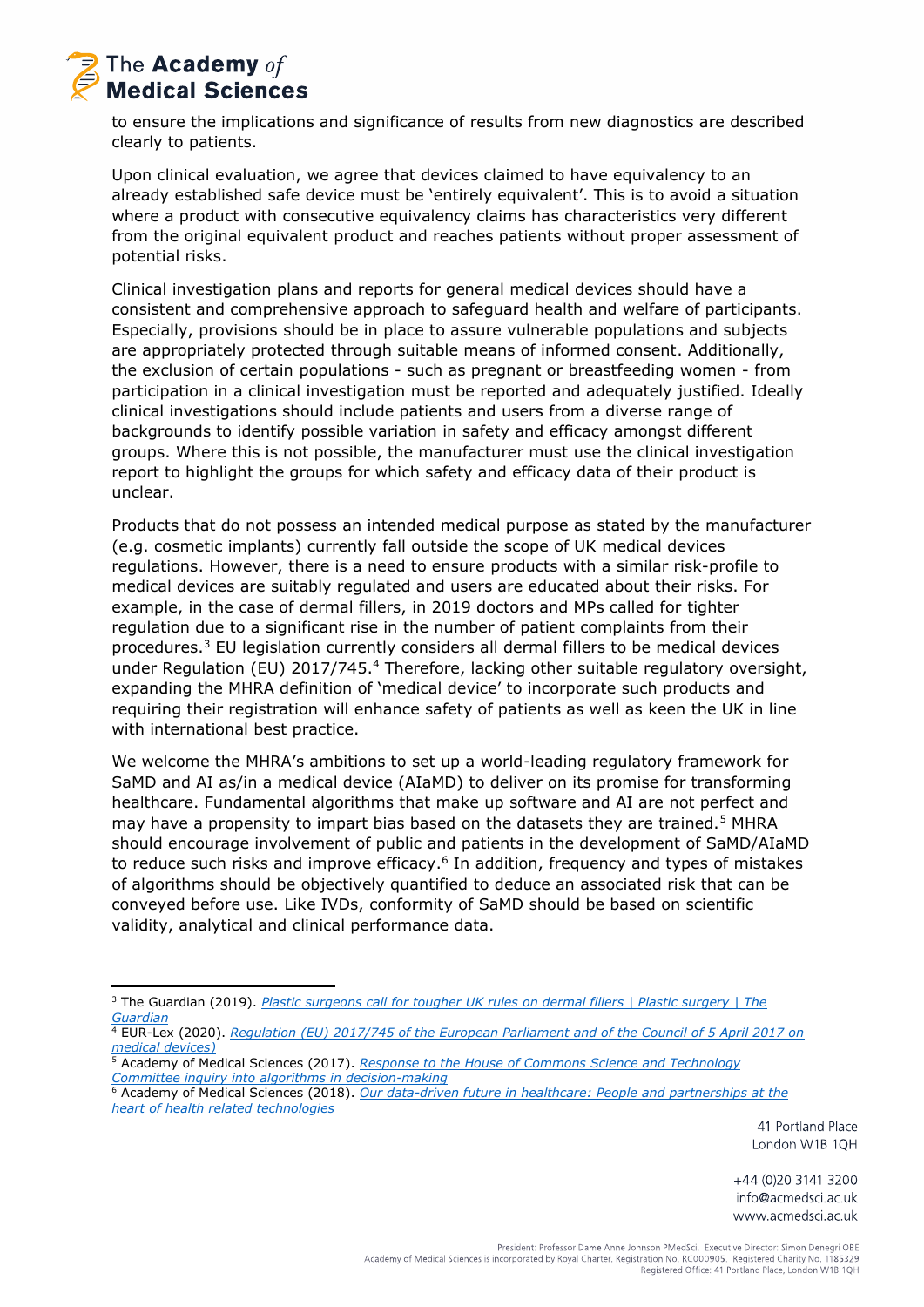

to ensure the implications and significance of results from new diagnostics are described clearly to patients.

Upon clinical evaluation, we agree that devices claimed to have equivalency to an already established safe device must be 'entirely equivalent'. This is to avoid a situation where a product with consecutive equivalency claims has characteristics very different from the original equivalent product and reaches patients without proper assessment of potential risks.

Clinical investigation plans and reports for general medical devices should have a consistent and comprehensive approach to safeguard health and welfare of participants. Especially, provisions should be in place to assure vulnerable populations and subjects are appropriately protected through suitable means of informed consent. Additionally, the exclusion of certain populations - such as pregnant or breastfeeding women - from participation in a clinical investigation must be reported and adequately justified. Ideally clinical investigations should include patients and users from a diverse range of backgrounds to identify possible variation in safety and efficacy amongst different groups. Where this is not possible, the manufacturer must use the clinical investigation report to highlight the groups for which safety and efficacy data of their product is unclear.

Products that do not possess an intended medical purpose as stated by the manufacturer (e.g. cosmetic implants) currently fall outside the scope of UK medical devices regulations. However, there is a need to ensure products with a similar risk-profile to medical devices are suitably regulated and users are educated about their risks. For example, in the case of dermal fillers, in 2019 doctors and MPs called for tighter regulation due to a significant rise in the number of patient complaints from their procedures.<sup>3</sup> EU legislation currently considers all dermal fillers to be medical devices under Regulation (EU) 2017/745.<sup>4</sup> Therefore, lacking other suitable regulatory oversight, expanding the MHRA definition of 'medical device' to incorporate such products and requiring their registration will enhance safety of patients as well as keen the UK in line with international best practice.

We welcome the MHRA's ambitions to set up a world-leading regulatory framework for SaMD and AI as/in a medical device (AIaMD) to deliver on its promise for transforming healthcare. Fundamental algorithms that make up software and AI are not perfect and may have a propensity to impart bias based on the datasets they are trained.<sup>5</sup> MHRA should encourage involvement of public and patients in the development of SaMD/AIaMD to reduce such risks and improve efficacy.<sup>6</sup> In addition, frequency and types of mistakes of algorithms should be objectively quantified to deduce an associated risk that can be conveyed before use. Like IVDs, conformity of SaMD should be based on scientific validity, analytical and clinical performance data.

41 Portland Place London W1B 1QH

<sup>3</sup> The Guardian (2019). *[Plastic surgeons call for tougher UK rules on dermal fillers | Plastic surgery | The](https://www.theguardian.com/society/2019/jan/29/plastic-surgeons-call-for-tougher-uk-rules-on-dermal-fillers)  [Guardian](https://www.theguardian.com/society/2019/jan/29/plastic-surgeons-call-for-tougher-uk-rules-on-dermal-fillers)*

<sup>4</sup> EUR-Lex (2020). *[Regulation \(EU\) 2017/745 of the European Parliament and of the Council of 5 April 2017 on](https://eur-lex.europa.eu/legal-content/en/ALL/?uri=CELEX%3A02017R0745-20200424)  [medical devices\)](https://eur-lex.europa.eu/legal-content/en/ALL/?uri=CELEX%3A02017R0745-20200424)*

<sup>5</sup> Academy of Medical Sciences (2017). *[Response to the House of Commons Science and Technology](https://acmedsci.ac.uk/file-download/79291192)  [Committee inquiry into algorithms in decision-making](https://acmedsci.ac.uk/file-download/79291192)* 

<sup>6</sup> Academy of Medical Sciences (2018). *[Our data-driven future in healthcare: People and partnerships at the](https://acmedsci.ac.uk/file-download/74634438)  [heart of health related technologies](https://acmedsci.ac.uk/file-download/74634438)*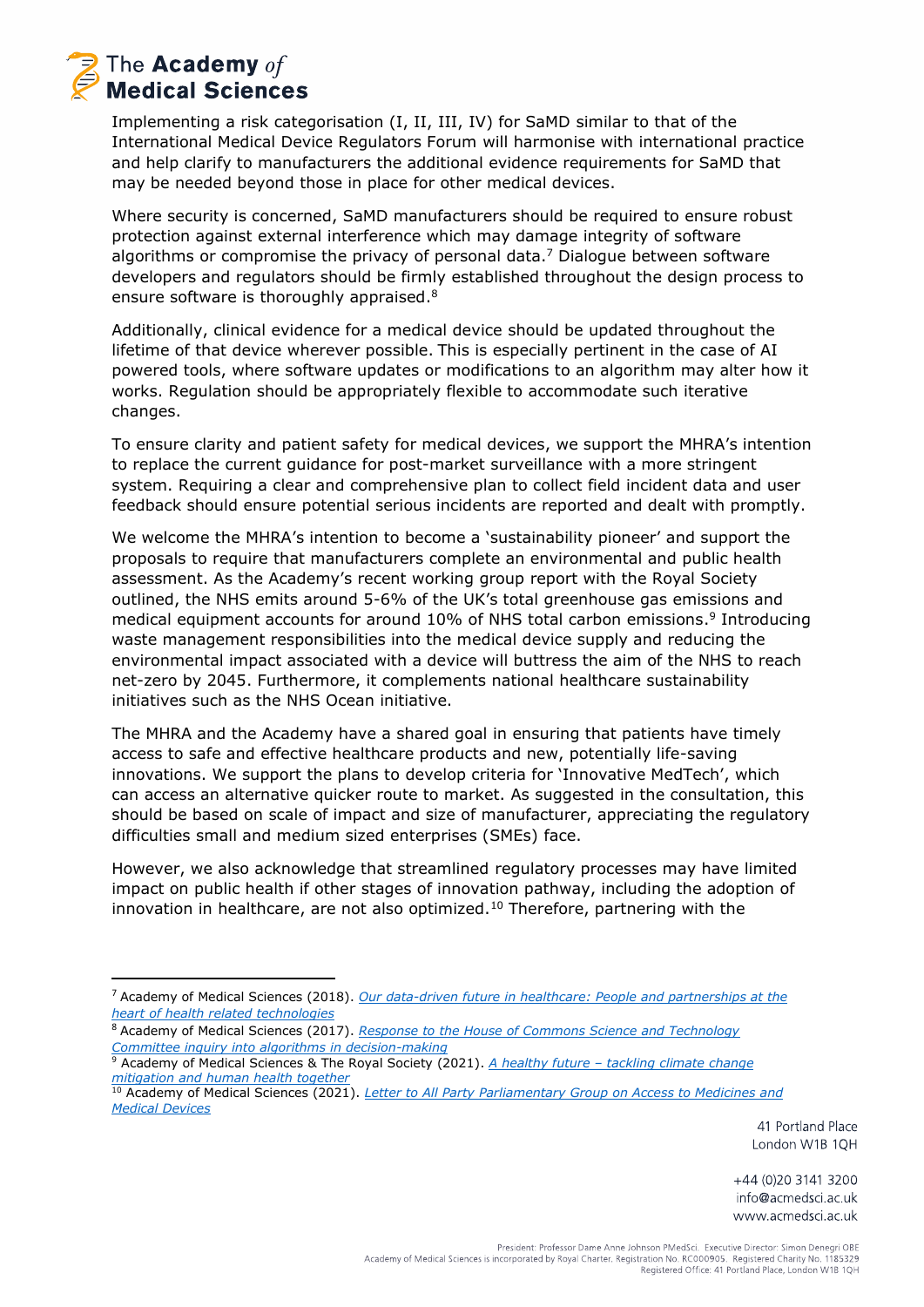## The Academy of **Medical Sciences**

Implementing a risk categorisation (I, II, III, IV) for SaMD similar to that of the International Medical Device Regulators Forum will harmonise with international practice and help clarify to manufacturers the additional evidence requirements for SaMD that may be needed beyond those in place for other medical devices.

Where security is concerned, SaMD manufacturers should be required to ensure robust protection against external interference which may damage integrity of software algorithms or compromise the privacy of personal data.<sup>7</sup> Dialogue between software developers and regulators should be firmly established throughout the design process to ensure software is thoroughly appraised.<sup>8</sup>

Additionally, clinical evidence for a medical device should be updated throughout the lifetime of that device wherever possible. This is especially pertinent in the case of AI powered tools, where software updates or modifications to an algorithm may alter how it works. Regulation should be appropriately flexible to accommodate such iterative changes.

To ensure clarity and patient safety for medical devices, we support the MHRA's intention to replace the current guidance for post-market surveillance with a more stringent system. Requiring a clear and comprehensive plan to collect field incident data and user feedback should ensure potential serious incidents are reported and dealt with promptly.

We welcome the MHRA's intention to become a 'sustainability pioneer' and support the proposals to require that manufacturers complete an environmental and public health assessment. As the Academy's recent working group report with the Royal Society outlined, the NHS emits around 5-6% of the UK's total greenhouse gas emissions and medical equipment accounts for around 10% of NHS total carbon emissions.<sup>9</sup> Introducing waste management responsibilities into the medical device supply and reducing the environmental impact associated with a device will buttress the aim of the NHS to reach net-zero by 2045. Furthermore, it complements national healthcare sustainability initiatives such as the NHS Ocean initiative.

The MHRA and the Academy have a shared goal in ensuring that patients have timely access to safe and effective healthcare products and new, potentially life-saving innovations. We support the plans to develop criteria for 'Innovative MedTech', which can access an alternative quicker route to market. As suggested in the consultation, this should be based on scale of impact and size of manufacturer, appreciating the regulatory difficulties small and medium sized enterprises (SMEs) face.

However, we also acknowledge that streamlined regulatory processes may have limited impact on public health if other stages of innovation pathway, including the adoption of innovation in healthcare, are not also optimized.<sup>10</sup> Therefore, partnering with the

41 Portland Place London W1B 1QH

<sup>7</sup> Academy of Medical Sciences (2018). *[Our data-driven future in healthcare: People and partnerships at the](https://acmedsci.ac.uk/file-download/74634438)  [heart of health related technologies](https://acmedsci.ac.uk/file-download/74634438)*

<sup>8</sup> Academy of Medical Sciences (2017). *[Response to the House of Commons Science and Technology](https://acmedsci.ac.uk/file-download/79291192)  [Committee inquiry into algorithms in decision-making](https://acmedsci.ac.uk/file-download/79291192)* 

<sup>9</sup> Academy of Medical Sciences & The Royal Society (2021). *A healthy future – [tackling climate change](https://royalsociety.org/-/media/policy/projects/climate-change-mitigation-human-health/AMS-climate-change-report.pdf)  [mitigation and human health together](https://royalsociety.org/-/media/policy/projects/climate-change-mitigation-human-health/AMS-climate-change-report.pdf)*

<sup>10</sup> Academy of Medical Sciences (2021). *[Letter to All Party Parliamentary Group on Access to Medicines and](https://acmedsci.ac.uk/file-download/38965811)  [Medical Devices](https://acmedsci.ac.uk/file-download/38965811)*